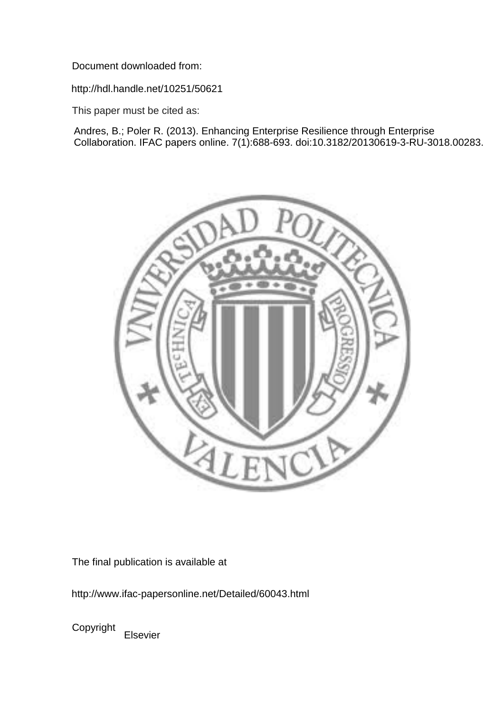Document downloaded from:

http://hdl.handle.net/10251/50621

This paper must be cited as:

Andres, B.; Poler R. (2013). Enhancing Enterprise Resilience through Enterprise Collaboration. IFAC papers online. 7(1):688-693. doi:10.3182/20130619-3-RU-3018.00283.



The final publication is available at

http://www.ifac-papersonline.net/Detailed/60043.html

Copyright Elsevier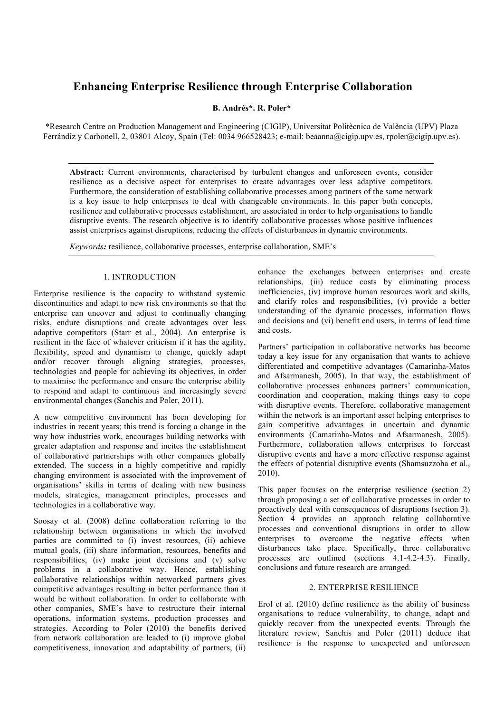# **Enhancing Enterprise Resilience through Enterprise Collaboration**

**B. Andrés\*. R. Poler\***

\*Research Centre on Production Management and Engineering (CIGIP), Universitat Politècnica de València (UPV) Plaza Ferrándiz y Carbonell, 2, 03801 Alcoy, Spain (Tel: 0034 966528423; e-mail: beaanna@cigip.upv.es, rpoler@cigip.upv.es).

**Abstract:** Current environments, characterised by turbulent changes and unforeseen events, consider resilience as a decisive aspect for enterprises to create advantages over less adaptive competitors. Furthermore, the consideration of establishing collaborative processes among partners of the same network is a key issue to help enterprises to deal with changeable environments. In this paper both concepts, resilience and collaborative processes establishment, are associated in order to help organisations to handle disruptive events. The research objective is to identify collaborative processes whose positive influences assist enterprises against disruptions, reducing the effects of disturbances in dynamic environments.

*Keywords:* resilience, collaborative processes, enterprise collaboration, SME's

#### 1. INTRODUCTION

Enterprise resilience is the capacity to withstand systemic discontinuities and adapt to new risk environments so that the enterprise can uncover and adjust to continually changing risks, endure disruptions and create advantages over less adaptive competitors (Starr et al., 2004). An enterprise is resilient in the face of whatever criticism if it has the agility, flexibility, speed and dynamism to change, quickly adapt and/or recover through aligning strategies, processes, technologies and people for achieving its objectives, in order to maximise the performance and ensure the enterprise ability to respond and adapt to continuous and increasingly severe environmental changes (Sanchis and Poler, 2011).

A new competitive environment has been developing for industries in recent years; this trend is forcing a change in the way how industries work, encourages building networks with greater adaptation and response and incites the establishment of collaborative partnerships with other companies globally extended. The success in a highly competitive and rapidly changing environment is associated with the improvement of organisations' skills in terms of dealing with new business models, strategies, management principles, processes and technologies in a collaborative way.

Soosay et al. (2008) define collaboration referring to the relationship between organisations in which the involved parties are committed to (i) invest resources, (ii) achieve mutual goals, (iii) share information, resources, benefits and responsibilities, (iv) make joint decisions and (v) solve problems in a collaborative way. Hence, establishing collaborative relationships within networked partners gives competitive advantages resulting in better performance than it would be without collaboration. In order to collaborate with other companies, SME's have to restructure their internal operations, information systems, production processes and strategies. According to Poler (2010) the benefits derived from network collaboration are leaded to (i) improve global competitiveness, innovation and adaptability of partners, (ii)

enhance the exchanges between enterprises and create relationships, (iii) reduce costs by eliminating process inefficiencies, (iv) improve human resources work and skills, and clarify roles and responsibilities, (v) provide a better understanding of the dynamic processes, information flows and decisions and (vi) benefit end users, in terms of lead time and costs.

Partners' participation in collaborative networks has become today a key issue for any organisation that wants to achieve differentiated and competitive advantages (Camarinha-Matos and Afsarmanesh, 2005). In that way, the establishment of collaborative processes enhances partners' communication, coordination and cooperation, making things easy to cope with disruptive events. Therefore, collaborative management within the network is an important asset helping enterprises to gain competitive advantages in uncertain and dynamic environments (Camarinha-Matos and Afsarmanesh, 2005). Furthermore, collaboration allows enterprises to forecast disruptive events and have a more effective response against the effects of potential disruptive events (Shamsuzzoha et al., 2010).

This paper focuses on the enterprise resilience (section 2) through proposing a set of collaborative processes in order to proactively deal with consequences of disruptions (section 3). Section 4 provides an approach relating collaborative processes and conventional disruptions in order to allow enterprises to overcome the negative effects when disturbances take place. Specifically, three collaborative processes are outlined (sections 4.1-4.2-4.3). Finally, conclusions and future research are arranged.

## 2. ENTERPRISE RESILIENCE

Erol et al. (2010) define resilience as the ability of business organisations to reduce vulnerability, to change, adapt and quickly recover from the unexpected events. Through the literature review, Sanchis and Poler (2011) deduce that resilience is the response to unexpected and unforeseen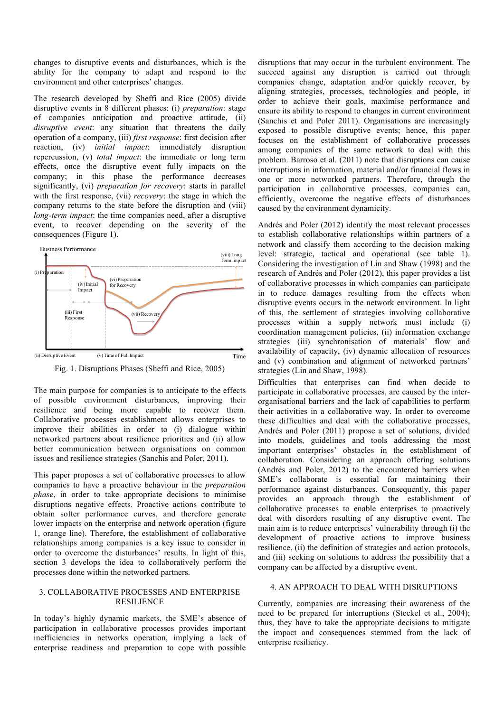changes to disruptive events and disturbances, which is the ability for the company to adapt and respond to the environment and other enterprises' changes.

The research developed by Sheffi and Rice (2005) divide disruptive events in 8 different phases: (i) *preparation*: stage of companies anticipation and proactive attitude, (ii) *disruptive event*: any situation that threatens the daily operation of a company, (iii) *first response*: first decision after reaction, (iv) *initial impact*: immediately disruption repercussion, (v) *total impact*: the immediate or long term effects, once the disruptive event fully impacts on the company; in this phase the performance decreases significantly, (vi) *preparation for recovery*: starts in parallel with the first response, (vii) *recovery*: the stage in which the company returns to the state before the disruption and (viii) *long-term impact*: the time companies need, after a disruptive event, to recover depending on the severity of the consequences (Figure 1).



Fig. 1. Disruptions Phases (Sheffi and Rice, 2005)

The main purpose for companies is to anticipate to the effects of possible environment disturbances, improving their resilience and being more capable to recover them. Collaborative processes establishment allows enterprises to improve their abilities in order to (i) dialogue within networked partners about resilience priorities and (ii) allow better communication between organisations on common issues and resilience strategies (Sanchis and Poler, 2011).

This paper proposes a set of collaborative processes to allow companies to have a proactive behaviour in the *preparation phase*, in order to take appropriate decisions to minimise disruptions negative effects. Proactive actions contribute to obtain softer performance curves, and therefore generate lower impacts on the enterprise and network operation (figure 1, orange line). Therefore, the establishment of collaborative relationships among companies is a key issue to consider in order to overcome the disturbances' results. In light of this, section 3 develops the idea to collaboratively perform the processes done within the networked partners.

#### 3. COLLABORATIVE PROCESSES AND ENTERPRISE RESILIENCE

In today's highly dynamic markets, the SME's absence of participation in collaborative processes provides important inefficiencies in networks operation, implying a lack of enterprise readiness and preparation to cope with possible

disruptions that may occur in the turbulent environment. The succeed against any disruption is carried out through companies change, adaptation and/or quickly recover, by aligning strategies, processes, technologies and people, in order to achieve their goals, maximise performance and ensure its ability to respond to changes in current environment (Sanchis et and Poler 2011). Organisations are increasingly exposed to possible disruptive events; hence, this paper focuses on the establishment of collaborative processes among companies of the same network to deal with this problem. Barroso et al. (2011) note that disruptions can cause interruptions in information, material and/or financial flows in one or more networked partners. Therefore, through the participation in collaborative processes, companies can, efficiently, overcome the negative effects of disturbances caused by the environment dynamicity.

Andrés and Poler (2012) identify the most relevant processes to establish collaborative relationships within partners of a network and classify them according to the decision making level: strategic, tactical and operational (see table 1). Considering the investigation of Lin and Shaw (1998) and the research of Andrés and Poler (2012), this paper provides a list of collaborative processes in which companies can participate in to reduce damages resulting from the effects when disruptive events occurs in the network environment. In light of this, the settlement of strategies involving collaborative processes within a supply network must include (i) coordination management policies, (ii) information exchange strategies (iii) synchronisation of materials' flow and availability of capacity, (iv) dynamic allocation of resources and (v) combination and alignment of networked partners' strategies (Lin and Shaw, 1998).

Difficulties that enterprises can find when decide to participate in collaborative processes, are caused by the interorganisational barriers and the lack of capabilities to perform their activities in a collaborative way. In order to overcome these difficulties and deal with the collaborative processes, Andrés and Poler (2011) propose a set of solutions, divided into models, guidelines and tools addressing the most important enterprises' obstacles in the establishment of collaboration. Considering an approach offering solutions (Andrés and Poler, 2012) to the encountered barriers when SME's collaborate is essential for maintaining their performance against disturbances. Consequently, this paper provides an approach through the establishment of collaborative processes to enable enterprises to proactively deal with disorders resulting of any disruptive event. The main aim is to reduce enterprises' vulnerability through (i) the development of proactive actions to improve business resilience, (ii) the definition of strategies and action protocols, and (iii) seeking on solutions to address the possibility that a company can be affected by a disruptive event.

# 4. AN APPROACH TO DEAL WITH DISRUPTIONS

Currently, companies are increasing their awareness of the need to be prepared for interruptions (Steckel et al., 2004); thus, they have to take the appropriate decisions to mitigate the impact and consequences stemmed from the lack of enterprise resiliency.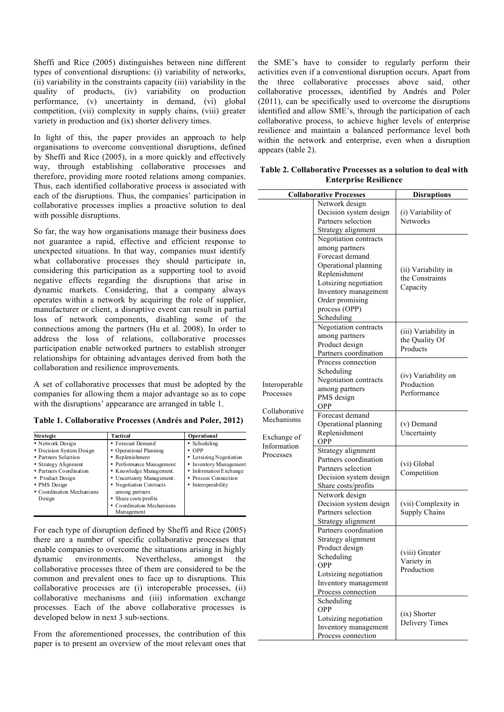Sheffi and Rice (2005) distinguishes between nine different types of conventional disruptions: (i) variability of networks, (ii) variability in the constraints capacity (iii) variability in the quality of products, (iv) variability on production performance, (v) uncertainty in demand, (vi) global competition, (vii) complexity in supply chains, (viii) greater variety in production and (ix) shorter delivery times.

In light of this, the paper provides an approach to help organisations to overcome conventional disruptions, defined by Sheffi and Rice (2005), in a more quickly and effectively way, through establishing collaborative processes and therefore, providing more rooted relations among companies. Thus, each identified collaborative process is associated with each of the disruptions. Thus, the companies' participation in collaborative processes implies a proactive solution to deal with possible disruptions.

So far, the way how organisations manage their business does not guarantee a rapid, effective and efficient response to unexpected situations. In that way, companies must identify what collaborative processes they should participate in, considering this participation as a supporting tool to avoid negative effects regarding the disruptions that arise in dynamic markets. Considering, that a company always operates within a network by acquiring the role of supplier, manufacturer or client, a disruptive event can result in partial loss of network components, disabling some of the connections among the partners (Hu et al. 2008). In order to address the loss of relations, collaborative processes participation enable networked partners to establish stronger relationships for obtaining advantages derived from both the collaboration and resilience improvements.

A set of collaborative processes that must be adopted by the companies for allowing them a major advantage so as to cope with the disruptions' appearance are arranged in table 1.

**Table 1. Collaborative Processes (Andrés and Poler, 2012)**

| <b>Strategic</b>          | Tactical                  | Operational             |
|---------------------------|---------------------------|-------------------------|
| • Network Design          | • Forecast Demand         | • Scheduling            |
| • Decision System Design  | • Operational Planning    | $\cdot$ OPP             |
| • Partners Selection      | • Replenishment           | • Lotsizing Negotiation |
| • Strategy Alignment      | • Performance Management  | • Inventory Management. |
| • Partners Coordination   | • Knowledge Management.   | • Information Exchange  |
| • Product Design          | • Uncertainty Management. | • Process Connection    |
| • PMS Design              | • Negotiation Contracts   | • Interoperability      |
| • Coordination Mechanisms | among partners            |                         |
| Design                    | • Share costs/profits     |                         |
|                           | • Coordination Mechanisms |                         |
|                           | Management                |                         |

For each type of disruption defined by Sheffi and Rice (2005) there are a number of specific collaborative processes that enable companies to overcome the situations arising in highly dynamic environments. Nevertheless, amongst the collaborative processes three of them are considered to be the common and prevalent ones to face up to disruptions. This collaborative processes are (i) interoperable processes, (ii) collaborative mechanisms and (iii) information exchange processes. Each of the above collaborative processes is developed below in next 3 sub-sections.

From the aforementioned processes, the contribution of this paper is to present an overview of the most relevant ones that

the SME's have to consider to regularly perform their activities even if a conventional disruption occurs. Apart from the three collaborative processes above said, other collaborative processes, identified by Andrés and Poler (2011), can be specifically used to overcome the disruptions identified and allow SME's, through the participation of each collaborative process, to achieve higher levels of enterprise resilience and maintain a balanced performance level both within the network and enterprise, even when a disruption appears (table 2).

| Table 2. Collaborative Processes as a solution to deal with |  |  |
|-------------------------------------------------------------|--|--|
| <b>Enterprise Resilience</b>                                |  |  |

| Network design<br>Decision system design<br>(i) Variability of<br>Partners selection<br>Networks<br>Strategy alignment<br>Negotiation contracts<br>among partners |                          |
|-------------------------------------------------------------------------------------------------------------------------------------------------------------------|--------------------------|
|                                                                                                                                                                   |                          |
|                                                                                                                                                                   |                          |
|                                                                                                                                                                   |                          |
|                                                                                                                                                                   |                          |
|                                                                                                                                                                   |                          |
|                                                                                                                                                                   |                          |
| Forecast demand                                                                                                                                                   |                          |
| Operational planning                                                                                                                                              |                          |
| (ii) Variability in<br>Replenishment                                                                                                                              |                          |
| the Constraints<br>Lotsizing negotiation                                                                                                                          |                          |
| Capacity<br>Inventory management                                                                                                                                  |                          |
| Order promising                                                                                                                                                   |                          |
| process (OPP)                                                                                                                                                     |                          |
| Scheduling                                                                                                                                                        |                          |
| Negotiation contracts                                                                                                                                             |                          |
| (iii) Variability in<br>among partners                                                                                                                            |                          |
| the Quality Of<br>Product design                                                                                                                                  |                          |
| Partners coordination                                                                                                                                             | Products                 |
| Process connection                                                                                                                                                |                          |
| Scheduling                                                                                                                                                        |                          |
| (iv) Variability on<br>Negotiation contracts                                                                                                                      |                          |
| Production<br>Interoperable<br>among partners                                                                                                                     |                          |
| Performance<br>Processes<br>PMS design                                                                                                                            |                          |
| <b>OPP</b>                                                                                                                                                        |                          |
| Collaborative<br>Forecast demand                                                                                                                                  |                          |
| Mechanisms<br>Operational planning<br>(v) Demand                                                                                                                  |                          |
| Replenishment<br>Uncertainty                                                                                                                                      |                          |
| Exchange of<br>OPP                                                                                                                                                |                          |
| Information<br>Strategy alignment                                                                                                                                 |                          |
| Processes<br>Partners coordination                                                                                                                                |                          |
| (vi) Global<br>Partners selection                                                                                                                                 |                          |
| Decision system design                                                                                                                                            | Competition              |
| Share costs/profits                                                                                                                                               |                          |
| Network design                                                                                                                                                    |                          |
| Decision system design<br>(vii) Complexity in                                                                                                                     |                          |
| Partners selection<br><b>Supply Chains</b>                                                                                                                        |                          |
| Strategy alignment                                                                                                                                                |                          |
| Partners coordination                                                                                                                                             |                          |
| Strategy alignment                                                                                                                                                |                          |
| Product design                                                                                                                                                    |                          |
| (viii) Greater<br>Scheduling                                                                                                                                      |                          |
| <b>OPP</b>                                                                                                                                                        | Variety in<br>Production |
| Lotsizing negotiation                                                                                                                                             |                          |
| Inventory management                                                                                                                                              |                          |
| Process connection                                                                                                                                                |                          |
| Scheduling                                                                                                                                                        |                          |
| <b>OPP</b>                                                                                                                                                        |                          |
| (ix) Shorter<br>Lotsizing negotiation                                                                                                                             |                          |
| <b>Delivery Times</b><br>Inventory management                                                                                                                     |                          |
| Process connection                                                                                                                                                |                          |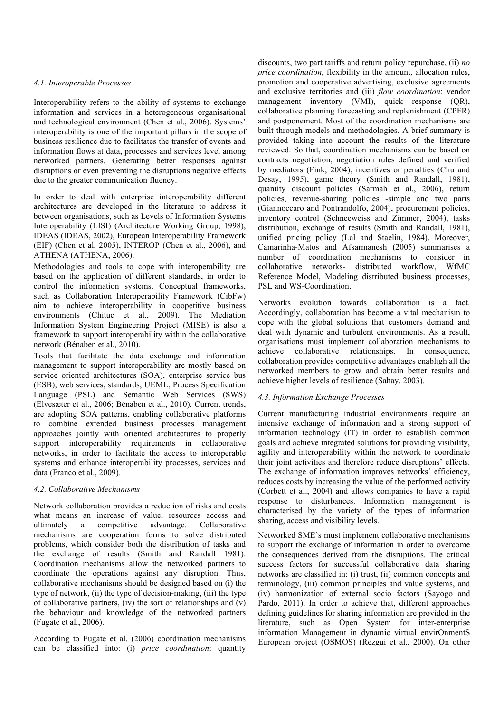#### *4.1. Interoperable Processes*

Interoperability refers to the ability of systems to exchange information and services in a heterogeneous organisational and technological environment (Chen et al., 2006). Systems' interoperability is one of the important pillars in the scope of business resilience due to facilitates the transfer of events and information flows at data, processes and services level among networked partners. Generating better responses against disruptions or even preventing the disruptions negative effects due to the greater communication fluency.

In order to deal with enterprise interoperability different architectures are developed in the literature to address it between organisations, such as Levels of Information Systems Interoperability (LISI) (Architecture Working Group, 1998), IDEAS (IDEAS, 2002), European Interoperability Framework (EIF) (Chen et al, 2005), INTEROP (Chen et al., 2006), and ATHENA (ATHENA, 2006).

Methodologies and tools to cope with interoperability are based on the application of different standards, in order to control the information systems. Conceptual frameworks, such as Collaboration Interoperability Framework (CibFw) aim to achieve interoperability in coopetitive business environments (Chituc et al., 2009). The Mediation Information System Engineering Project (MISE) is also a framework to support interoperability within the collaborative network (Bénaben et al., 2010).

Tools that facilitate the data exchange and information management to support interoperability are mostly based on service oriented architectures (SOA), enterprise service bus (ESB), web services, standards, UEML, Process Specification Language (PSL) and Semantic Web Services (SWS) (Elvesæter et al., 2006; Bénaben et al., 2010). Current trends, are adopting SOA patterns, enabling collaborative platforms to combine extended business processes management approaches jointly with oriented architectures to properly support interoperability requirements in collaborative networks, in order to facilitate the access to interoperable systems and enhance interoperability processes, services and data (Franco et al., 2009).

#### *4.2. Collaborative Mechanisms*

Network collaboration provides a reduction of risks and costs what means an increase of value, resources access and ultimately a competitive advantage. Collaborative mechanisms are cooperation forms to solve distributed problems, which consider both the distribution of tasks and the exchange of results (Smith and Randall 1981). Coordination mechanisms allow the networked partners to coordinate the operations against any disruption. Thus, collaborative mechanisms should be designed based on (i) the type of network, (ii) the type of decision-making, (iii) the type of collaborative partners, (iv) the sort of relationships and (v) the behaviour and knowledge of the networked partners (Fugate et al., 2006).

According to Fugate et al. (2006) coordination mechanisms can be classified into: (i) *price coordination*: quantity discounts, two part tariffs and return policy repurchase, (ii) *no price coordination*, flexibility in the amount, allocation rules, promotion and cooperative advertising, exclusive agreements and exclusive territories and (iii) *flow coordination*: vendor management inventory (VMI), quick response (QR), collaborative planning forecasting and replenishment (CPFR) and postponement. Most of the coordination mechanisms are built through models and methodologies. A brief summary is provided taking into account the results of the literature reviewed. So that, coordination mechanisms can be based on contracts negotiation, negotiation rules defined and verified by mediators (Fink, 2004), incentives or penalties (Chu and Desay, 1995), game theory (Smith and Randall, 1981), quantity discount policies (Sarmah et al., 2006), return policies, revenue-sharing policies -simple and two parts (Giannoccaro and Pontrandolfo, 2004), procurement policies, inventory control (Schneeweiss and Zimmer, 2004), tasks distribution, exchange of results (Smith and Randall, 1981), unified pricing policy (Lal and Staelin, 1984). Moreover, Camarinha-Matos and Afsarmanesh (2005) summarises a number of coordination mechanisms to consider in collaborative networks- distributed workflow, WfMC Reference Model, Modeling distributed business processes, PSL and WS-Coordination.

Networks evolution towards collaboration is a fact. Accordingly, collaboration has become a vital mechanism to cope with the global solutions that customers demand and deal with dynamic and turbulent environments. As a result, organisations must implement collaboration mechanisms to achieve collaborative relationships. In consequence, collaboration provides competitive advantages enabligh all the networked members to grow and obtain better results and achieve higher levels of resilience (Sahay, 2003).

### *4.3. Information Exchange Processes*

Current manufacturing industrial environments require an intensive exchange of information and a strong support of information technology (IT) in order to establish common goals and achieve integrated solutions for providing visibility, agility and interoperability within the network to coordinate their joint activities and therefore reduce disruptions' effects. The exchange of information improves networks' efficiency, reduces costs by increasing the value of the performed activity (Corbett et al., 2004) and allows companies to have a rapid response to disturbances. Information management is characterised by the variety of the types of information sharing, access and visibility levels.

Networked SME's must implement collaborative mechanisms to support the exchange of information in order to overcome the consequences derived from the disruptions. The critical success factors for successful collaborative data sharing networks are classified in: (i) trust, (ii) common concepts and terminology, (iii) common principles and value systems, and (iv) harmonization of external socio factors (Sayogo and Pardo, 2011). In order to achieve that, different approaches defining guidelines for sharing information are provided in the literature, such as Open System for inter-enterprise information Management in dynamic virtual envirOnmentS European project (OSMOS) (Rezgui et al., 2000). On other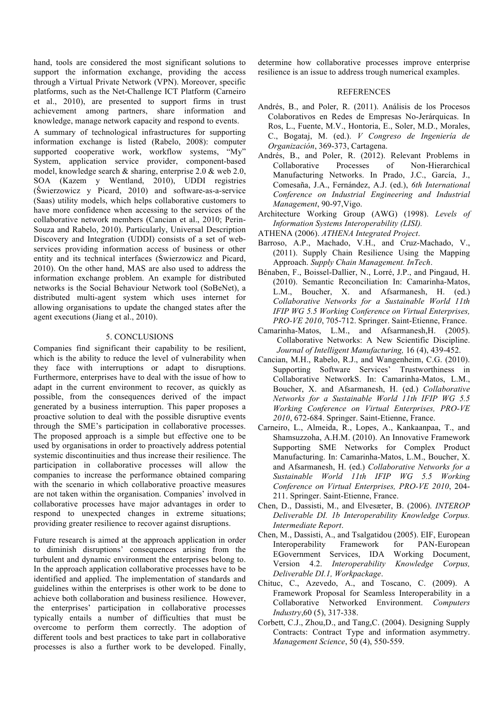hand, tools are considered the most significant solutions to support the information exchange, providing the access through a Virtual Private Network (VPN). Moreover, specific platforms, such as the Net-Challenge ICT Platform (Carneiro et al., 2010), are presented to support firms in trust achievement among partners, share information and knowledge, manage network capacity and respond to events.

A summary of technological infrastructures for supporting information exchange is listed (Rabelo, 2008): computer supported cooperative work, workflow systems, "My" System, application service provider, component-based model, knowledge search & sharing, enterprise 2.0 & web 2.0, SOA (Kazem y Wentland, 2010), UDDI registries (Świerzowicz y Picard, 2010) and software-as-a-service (Saas) utility models, which helps collaborative customers to have more confidence when accessing to the services of the collaborative network members (Cancian et al., 2010; Perin-Souza and Rabelo, 2010). Particularly, Universal Description Discovery and Integration (UDDI) consists of a set of webservices providing information access of business or other entity and its technical interfaces (Świerzowicz and Picard, 2010). On the other hand, MAS are also used to address the information exchange problem. An example for distributed networks is the Social Behaviour Network tool (SoBeNet), a distributed multi-agent system which uses internet for allowing organisations to update the changed states after the agent executions (Jiang et al., 2010).

#### 5. CONCLUSIONS

Companies find significant their capability to be resilient, which is the ability to reduce the level of vulnerability when they face with interruptions or adapt to disruptions. Furthermore, enterprises have to deal with the issue of how to adapt in the current environment to recover, as quickly as possible, from the consequences derived of the impact generated by a business interruption. This paper proposes a proactive solution to deal with the possible disruptive events through the SME's participation in collaborative processes. The proposed approach is a simple but effective one to be used by organisations in order to proactively address potential systemic discontinuities and thus increase their resilience. The participation in collaborative processes will allow the companies to increase the performance obtained comparing with the scenario in which collaborative proactive measures are not taken within the organisation. Companies' involved in collaborative processes have major advantages in order to respond to unexpected changes in extreme situations; providing greater resilience to recover against disruptions.

Future research is aimed at the approach application in order to diminish disruptions' consequences arising from the turbulent and dynamic environment the enterprises belong to. In the approach application collaborative processes have to be identified and applied. The implementation of standards and guidelines within the enterprises is other work to be done to achieve both collaboration and business resilience. However, the enterprises' participation in collaborative processes typically entails a number of difficulties that must be overcome to perform them correctly. The adoption of different tools and best practices to take part in collaborative processes is also a further work to be developed. Finally,

determine how collaborative processes improve enterprise resilience is an issue to address trough numerical examples.

#### REFERENCES

- Andrés, B., and Poler, R. (2011). Análisis de los Procesos Colaborativos en Redes de Empresas No-Jerárquicas. In Ros, L., Fuente, M.V., Hontoria, E., Soler, M.D., Morales, C., Bogataj, M. (ed.). *V Congreso de Ingeniería de Organización*, 369-373, Cartagena.
- Andrés, B., and Poler, R. (2012). Relevant Problems in Collaborative Processes of Non-Hierarchical Manufacturing Networks. In Prado, J.C., García, J., Comesaña, J.A., Fernández, A.J. (ed.), *6th International Conference on Industrial Engineering and Industrial Management*, 90-97,Vigo.
- Architecture Working Group (AWG) (1998). *Levels of Information Systems Interoperability (LISI).*
- ATHENA (2006). *ATHENA Integrated Project*.
- Barroso, A.P., Machado, V.H., and Cruz-Machado, V., (2011). Supply Chain Resilience Using the Mapping Approach. *Supply Chain Management. InTech*.
- Bénaben, F., Boissel-Dallier, N., Lorré, J.P., and Pingaud, H. (2010). Semantic Reconciliation In: Camarinha-Matos, L.M., Boucher, X. and Afsarmanesh, H. (ed.) *Collaborative Networks for a Sustainable World 11th IFIP WG 5.5 Working Conference on Virtual Enterprises, PRO-VE 2010*, 705-712. Springer. Saint-Etienne, France.
- Camarinha-Matos, L.M., and Afsarmanesh,H. (2005). Collaborative Networks: A New Scientific Discipline. *Journal of Intelligent Manufacturing,* 16 (4), 439-452.
- Cancian, M.H., Rabelo, R.J., and Wangenheim, C.G. (2010). Supporting Software Services' Trustworthiness in Collaborative NetworkS. In: Camarinha-Matos, L.M., Boucher, X. and Afsarmanesh, H. (ed.) *Collaborative Networks for a Sustainable World 11th IFIP WG 5.5 Working Conference on Virtual Enterprises, PRO-VE 2010*, 672-684. Springer. Saint-Etienne, France.
- Carneiro, L., Almeida, R., Lopes, A., Kankaanpaa, T., and Shamsuzzoha, A.H.M. (2010). An Innovative Framework Supporting SME Networks for Complex Product Manufacturing. In: Camarinha-Matos, L.M., Boucher, X. and Afsarmanesh, H. (ed.) *Collaborative Networks for a Sustainable World 11th IFIP WG 5.5 Working Conference on Virtual Enterprises, PRO-VE 2010*, 204- 211. Springer. Saint-Etienne, France.
- Chen, D., Dassisti, M., and Elvesæter, B. (2006). *INTEROP Deliverable DI. 1b Interoperability Knowledge Corpus. Intermediate Report*.
- Chen, M., Dassisti, A., and Tsalgatidou (2005). EIF, European Interoperability Framework for PAN-European EGovernment Services, IDA Working Document, Version 4.2. *Interoperability Knowledge Corpus, Deliverable DI.1, Workpackage*.
- Chituc, C., Azevedo, A., and Toscano, C. (2009). A Framework Proposal for Seamless Interoperability in a Collaborative Networked Environment. *Computers Industry*,60 (5), 317-338.
- Corbett, C.J., Zhou,D., and Tang,C. (2004). Designing Supply Contracts: Contract Type and information asymmetry. *Management Science*, 50 (4), 550-559.